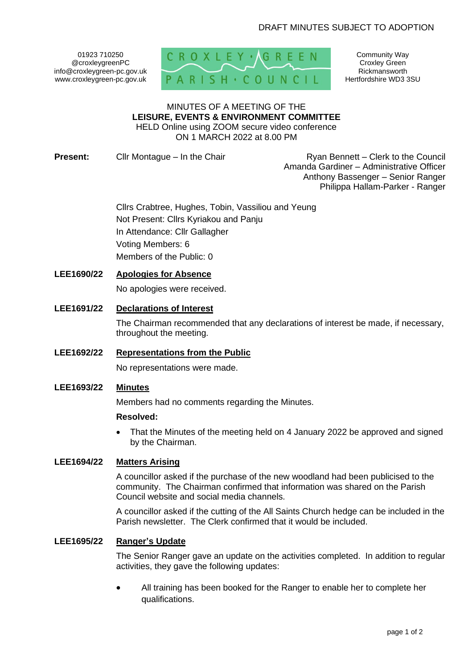01923 710250 @croxleygreenPC info@croxleygreen-pc.gov.uk www.croxleygreen-pc.gov.uk



Community Way Croxley Green Rickmansworth Hertfordshire WD3 3SU

#### MINUTES OF A MEETING OF THE **LEISURE, EVENTS & ENVIRONMENT COMMITTEE** HELD Online using ZOOM secure video conference

ON 1 MARCH 2022 at 8.00 PM

**Present:** Cllr Montague – In the Chair Ryan Bennett – Clerk to the Council Amanda Gardiner – Administrative Officer Anthony Bassenger – Senior Ranger Philippa Hallam-Parker - Ranger

> Cllrs Crabtree, Hughes, Tobin, Vassiliou and Yeung Not Present: Cllrs Kyriakou and Panju In Attendance: Cllr Gallagher Voting Members: 6 Members of the Public: 0

# **LEE1690/22 Apologies for Absence**

No apologies were received.

# **LEE1691/22 Declarations of Interest**

The Chairman recommended that any declarations of interest be made, if necessary, throughout the meeting.

## **LEE1692/22 Representations from the Public**

No representations were made.

### **LEE1693/22 Minutes**

Members had no comments regarding the Minutes.

#### **Resolved:**

• That the Minutes of the meeting held on 4 January 2022 be approved and signed by the Chairman.

### **LEE1694/22 Matters Arising**

A councillor asked if the purchase of the new woodland had been publicised to the community. The Chairman confirmed that information was shared on the Parish Council website and social media channels.

A councillor asked if the cutting of the All Saints Church hedge can be included in the Parish newsletter. The Clerk confirmed that it would be included.

#### **LEE1695/22 Ranger's Update**

The Senior Ranger gave an update on the activities completed. In addition to regular activities, they gave the following updates:

• All training has been booked for the Ranger to enable her to complete her qualifications.